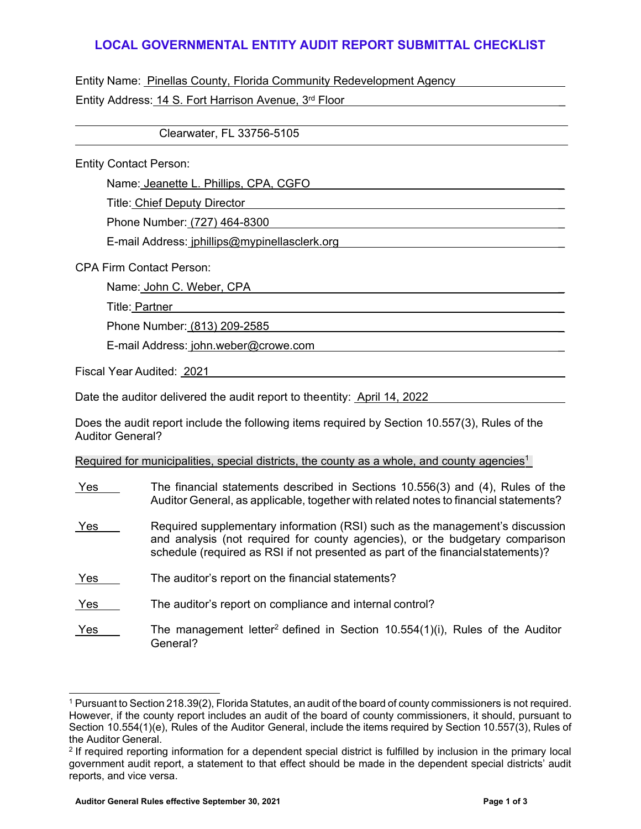## **LOCAL GOVERNMENTAL ENTITY AUDIT REPORT SUBMITTAL CHECKLIST**

Entity Name: Pinellas County, Florida Community Redevelopment Agency

Entity Address: 14 S. Fort Harrison Avenue, 3rd Floor

Clearwater, FL 33756-5105

Entity Contact Person:

Name: Jeanette L. Phillips, CPA, CGFO

Title: Chief Deputy Director \_

Phone Number: (727) 464-8300 \_

E-mail Address[: jphillips@mypinellasclerk.org](mailto:jphillips@mypinellasclerk.org) \_

CPA Firm Contact Person:

Name: John C. Weber, CPA

Title: Partner \_

Phone Number: (813) 209-2585 \_

E-mail Address: [john.weber@crowe.com](mailto:john.weber@crowe.com) \_

Fiscal Year Audited: 2021

Date the auditor delivered the audit report to the entity: April 14, 2022

Does the audit report include the following items required by Section 10.557(3), Rules of the Auditor General?

Required for municipalities, special districts, the county as a whole, and county agencies<sup>1</sup>

- Yes The financial statements described in Sections 10.556(3) and (4), Rules of the Auditor General, as applicable, together with related notes to financial statements?
- Yes Required supplementary information (RSI) such as the management's discussion and analysis (not required for county agencies), or the budgetary comparison schedule (required as RSI if not presented as part of the financial statements)?
- Yes The auditor's report on the financial statements?
- Yes The auditor's report on compliance and internal control?
- Yes The management letter<sup>2</sup> defined in Section 10.554(1)(i), Rules of the Auditor General?

<sup>1</sup> Pursuant to Section 218.39(2), Florida Statutes, an audit of the board of county commissioners is not required. However, if the county report includes an audit of the board of county commissioners, it should, pursuant to Section 10.554(1)(e), Rules of the Auditor General, include the items required by Section 10.557(3), Rules of the Auditor General.

<sup>2</sup> If required reporting information for a dependent special district is fulfilled by inclusion in the primary local government audit report, a statement to that effect should be made in the dependent special districts' audit reports, and vice versa.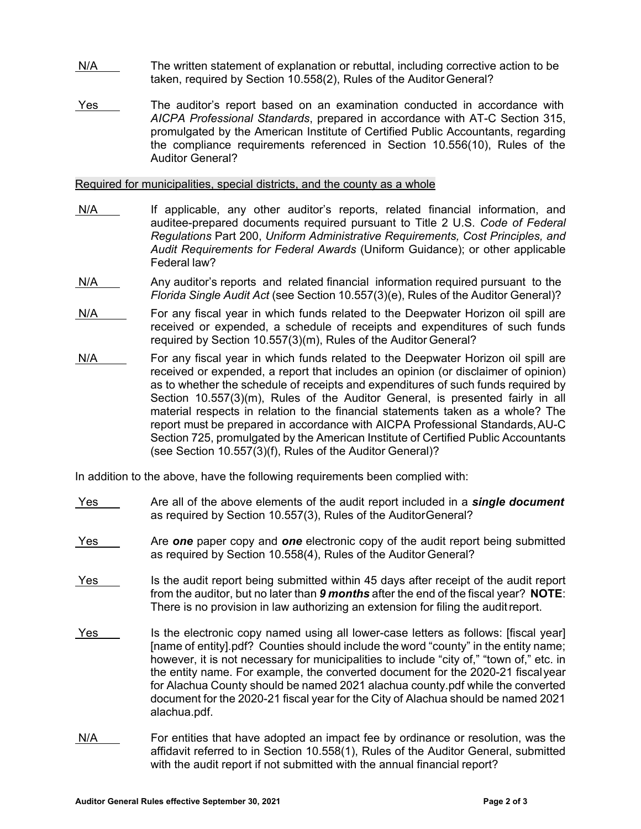- N/A The written statement of explanation or rebuttal, including corrective action to be taken, required by Section 10.558(2), Rules of the Auditor General?
- Yes The auditor's report based on an examination conducted in accordance with *AICPA Professional Standards*, prepared in accordance with AT-C Section 315, promulgated by the American Institute of Certified Public Accountants, regarding the compliance requirements referenced in Section 10.556(10), Rules of the Auditor General?

Required for municipalities, special districts, and the county as a whole

- N/A If applicable, any other auditor's reports, related financial information, and auditee-prepared documents required pursuant to Title 2 U.S. *Code of Federal Regulations* Part 200, *Uniform Administrative Requirements, Cost Principles, and Audit Requirements for Federal Awards* (Uniform Guidance); or other applicable Federal law?
- N/A Any auditor's reports and related financial information required pursuant to the *Florida Single Audit Act* (see Section 10.557(3)(e), Rules of the Auditor General)?
- N/A For any fiscal year in which funds related to the Deepwater Horizon oil spill are received or expended, a schedule of receipts and expenditures of such funds required by Section 10.557(3)(m), Rules of the Auditor General?
- N/A For any fiscal year in which funds related to the Deepwater Horizon oil spill are received or expended, a report that includes an opinion (or disclaimer of opinion) as to whether the schedule of receipts and expenditures of such funds required by Section 10.557(3)(m), Rules of the Auditor General, is presented fairly in all material respects in relation to the financial statements taken as a whole? The report must be prepared in accordance with AICPA Professional Standards, AU-C Section 725, promulgated by the American Institute of Certified Public Accountants (see Section 10.557(3)(f), Rules of the Auditor General)?

In addition to the above, have the following requirements been complied with:

- Yes Are all of the above elements of the audit report included in a *single document*  as required by Section 10.557(3), Rules of the Auditor General?
- Yes Are *one* paper copy and *one* electronic copy of the audit report being submitted as required by Section 10.558(4), Rules of the Auditor General?
- Yes is the audit report being submitted within 45 days after receipt of the audit report from the auditor, but no later than *9 months* after the end of the fiscal year? **NOTE**: There is no provision in law authorizing an extension for filing the audit report.
- Yes Is the electronic copy named using all lower-case letters as follows: [fiscal year] [name of entity].pdf? Counties should include the word "county" in the entity name; however, it is not necessary for municipalities to include "city of," "town of," etc. in the entity name. For example, the converted document for the 2020-21 fiscal year for Alachua County should be named 2021 alachua county.pdf while the converted document for the 2020-21 fiscal year for the City of Alachua should be named 2021 alachua.pdf.
- N/A For entities that have adopted an impact fee by ordinance or resolution, was the affidavit referred to in Section 10.558(1), Rules of the Auditor General, submitted with the audit report if not submitted with the annual financial report?